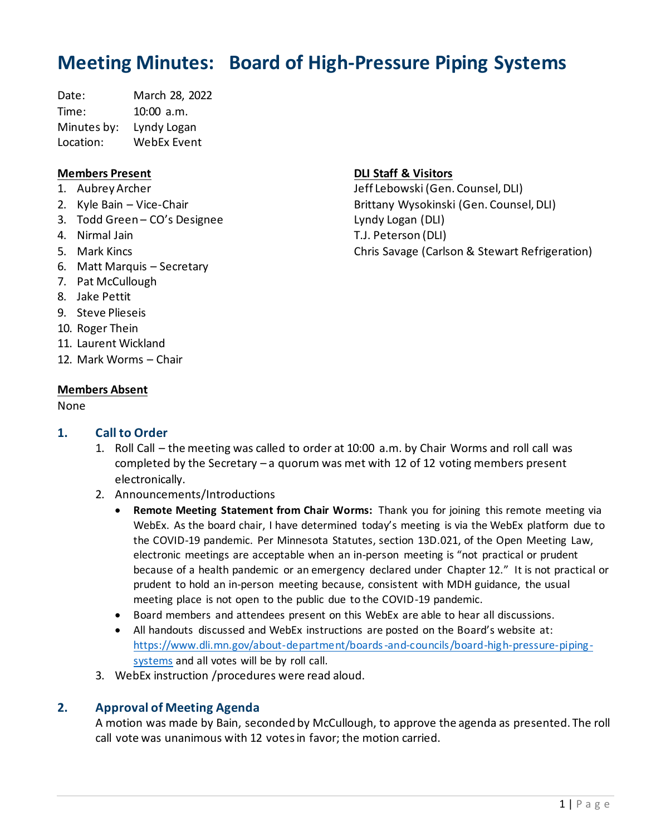# **Meeting Minutes: Board of High-Pressure Piping Systems**

Date: March 28, 2022 Time: 10:00 a.m. Minutes by: Lyndy Logan Location: WebEx Event

## **Members Present**

- 1. Aubrey Archer
- 2. Kyle Bain Vice-Chair
- 3. Todd Green CO's Designee
- 4. Nirmal Jain
- 5. Mark Kincs
- 6. Matt Marquis Secretary
- 7. Pat McCullough
- 8. Jake Pettit
- 9. Steve Plieseis
- 10. Roger Thein
- 11. Laurent Wickland
- 12. Mark Worms Chair

### **Members Absent**

#### None

## **1. Call to Order**

- 1. Roll Call the meeting was called to order at 10:00 a.m. by Chair Worms and roll call was completed by the Secretary – a quorum was met with 12 of 12 voting members present electronically.
- 2. Announcements/Introductions
	- **Remote Meeting Statement from Chair Worms:** Thank you for joining this remote meeting via WebEx. As the board chair, I have determined today's meeting is via the WebEx platform due to the COVID-19 pandemic. Per Minnesota Statutes, section 13D.021, of the Open Meeting Law, electronic meetings are acceptable when an in-person meeting is "not practical or prudent because of a health pandemic or an emergency declared under Chapter 12." It is not practical or prudent to hold an in-person meeting because, consistent with MDH guidance, the usual meeting place is not open to the public due to the COVID-19 pandemic.
	- Board members and attendees present on this WebEx are able to hear all discussions.
	- All handouts discussed and WebEx instructions are posted on the Board's website at: [https://www.dli.mn.gov/about-department/boards-and-councils/board-high-pressure-piping](https://www.dli.mn.gov/about-department/boards-and-councils/board-high-pressure-piping-systems)[systems](https://www.dli.mn.gov/about-department/boards-and-councils/board-high-pressure-piping-systems) and all votes will be by roll call.
- 3. WebEx instruction /procedures were read aloud.

## **2. Approval of Meeting Agenda**

A motion was made by Bain, seconded by McCullough, to approve the agenda as presented. The roll call vote was unanimous with 12 votes in favor; the motion carried.

## **DLI Staff & Visitors**

Jeff Lebowski (Gen. Counsel, DLI) Brittany Wysokinski (Gen. Counsel, DLI) Lyndy Logan (DLI) T.J. Peterson (DLI) Chris Savage (Carlson & Stewart Refrigeration)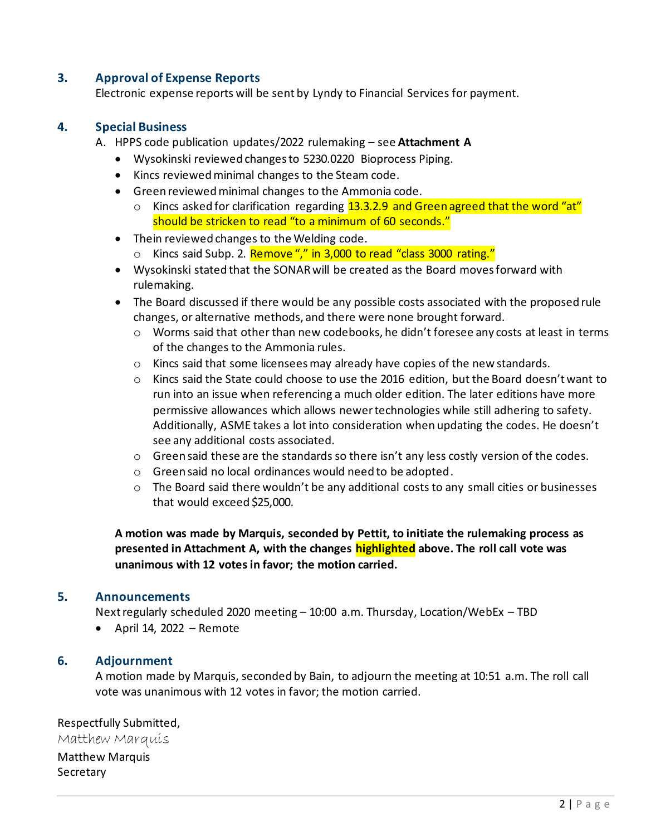## **3. Approval of Expense Reports**

Electronic expense reports will be sent by Lyndy to Financial Services for payment.

## **4. Special Business**

- A. HPPS code publication updates/2022 rulemaking see **Attachment A**
	- Wysokinski reviewed changes to 5230.0220 Bioprocess Piping.
	- Kincs reviewed minimal changes to the Steam code.
	- Green reviewed minimal changes to the Ammonia code.
		- $\circ$  Kincs asked for clarification regarding 13.3.2.9 and Green agreed that the word "at" should be stricken to read "to a minimum of 60 seconds."
	- Thein reviewed changes to the Welding code.
		- o Kincs said Subp. 2. Remove "," in 3,000 to read "class 3000 rating."
	- Wysokinski stated that the SONAR will be created as the Board moves forward with rulemaking.
	- The Board discussed if there would be any possible costs associated with the proposed rule changes, or alternative methods, and there were none brought forward.
		- o Worms said that other than new codebooks, he didn't foresee any costs at least in terms of the changes to the Ammonia rules.
		- o Kincs said that some licensees may already have copies of the new standards.
		- o Kincs said the State could choose to use the 2016 edition, but the Board doesn't want to run into an issue when referencing a much older edition. The later editions have more permissive allowances which allows newer technologies while still adhering to safety. Additionally, ASME takes a lot into consideration when updating the codes. He doesn't see any additional costs associated.
		- $\circ$  Green said these are the standards so there isn't any less costly version of the codes.
		- o Green said no local ordinances would need to be adopted.
		- o The Board said there wouldn't be any additional costs to any small cities or businesses that would exceed \$25,000.

**A motion was made by Marquis, seconded by Pettit, to initiate the rulemaking process as presented in Attachment A, with the changes highlighted above. The roll call vote was unanimous with 12 votes in favor; the motion carried.** 

## **5. Announcements**

Next regularly scheduled 2020 meeting – 10:00 a.m. Thursday, Location/WebEx – TBD

 $\bullet$  April 14, 2022 – Remote

## **6. Adjournment**

A motion made by Marquis, seconded by Bain, to adjourn the meeting at 10:51 a.m. The roll call vote was unanimous with 12 votes in favor; the motion carried.

Respectfully Submitted, Matthew Marquis Matthew Marquis Secretary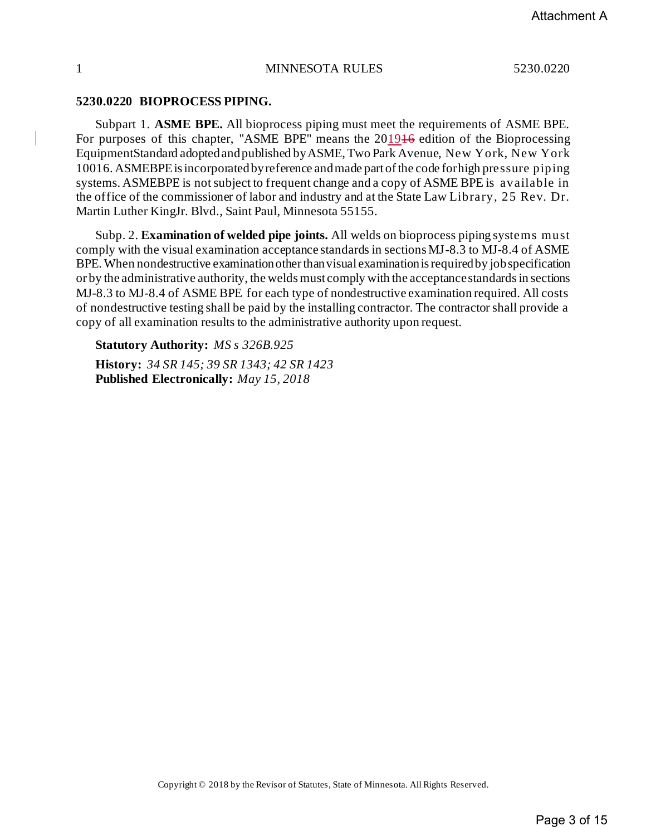#### **5230.0220 BIOPROCESS PIPING.**

Subpart 1. **ASME BPE.** All bioprocess piping must meet the requirements of ASME BPE. For purposes of this chapter, "ASME BPE" means the 201946 edition of the Bioprocessing EquipmentStandard adoptedandpublished byASME, Two Park Avenue, New York, New York 10016. ASMEBPEisincorporatedbyreference andmade part ofthe code forhigh pressure piping systems. ASMEBPE is not subject to frequent change and a copy of ASME BPE is available in the office of the commissioner of labor and industry and at the State Law Library, 25 Rev. Dr. Martin Luther KingJr. Blvd., Saint Paul, Minnesota 55155.

Subp. 2. **Examination of welded pipe joints.** All welds on bioprocess piping systems must comply with the visual examination acceptance standards in sections MJ-8.3 to MJ-8.4 of ASME BPE. When nondestructive examination other than visual examination is required by job specification or by the administrative authority, the welds must comply with the acceptance standards in sections MJ-8.3 to MJ-8.4 of ASME BPE for each type of nondestructive examination required. All costs of nondestructive testing shall be paid by the installing contractor. The contractor shall provide a copy of all examination results to the administrative authority upon request.

**Statutory Authority:** *MS s 326B.925* **History:** *34 SR 145; 39 SR 1343; 42 SR 1423* **Published Electronically:** *May 15, 2018*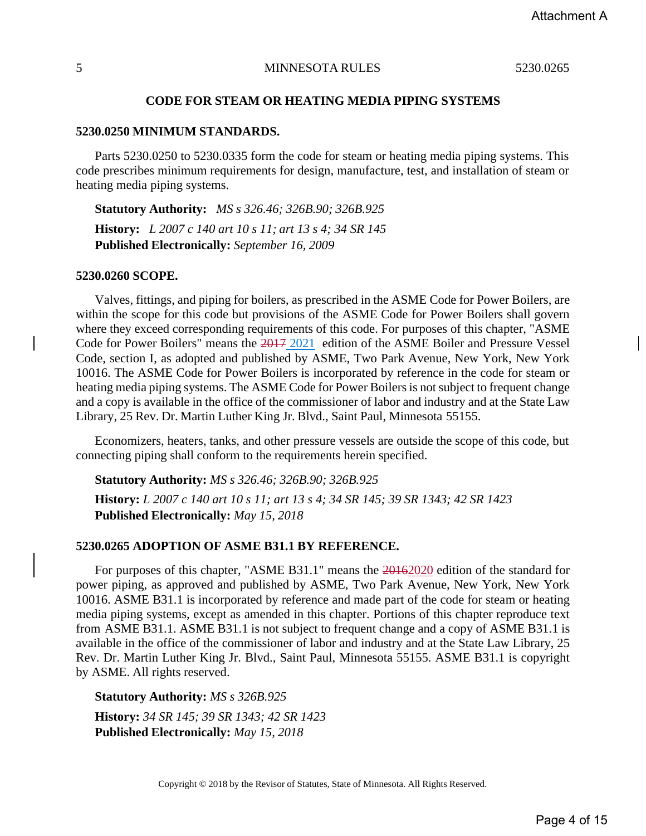#### **CODE FOR STEAM OR HEATING MEDIA PIPING SYSTEMS**

#### **5230.0250 MINIMUM STANDARDS.**

Parts 5230.0250 to 5230.0335 form the code for steam or heating media piping systems. This code prescribes minimum requirements for design, manufacture, test, and installation of steam or heating media piping systems.

**Statutory Authority:** *MS s 326.46; 326B.90; 326B.925* **History:** *L 2007 c 140 art 10 s 11; art 13 s 4; 34 SR 145* **Published Electronically:** *September 16, 2009*

#### **5230.0260 SCOPE.**

Valves, fittings, and piping for boilers, as prescribed in the ASME Code for Power Boilers, are within the scope for this code but provisions of the ASME Code for Power Boilers shall govern where they exceed corresponding requirements of this code. For purposes of this chapter, "ASME Code for Power Boilers" means the 2017 2021 edition of the ASME Boiler and Pressure Vessel Code, section I, as adopted and published by ASME, Two Park Avenue, New York, New York 10016. The ASME Code for Power Boilers is incorporated by reference in the code for steam or heating media piping systems. The ASME Code for Power Boilers is not subject to frequent change and a copy is available in the office of the commissioner of labor and industry and at the State Law Library, 25 Rev. Dr. Martin Luther King Jr. Blvd., Saint Paul, Minnesota 55155.

Economizers, heaters, tanks, and other pressure vessels are outside the scope of this code, but connecting piping shall conform to the requirements herein specified.

**Statutory Authority:** *MS s 326.46; 326B.90; 326B.925*

**History:** L 2007 c 140 art 10 s 11; art 13 s 4; 34 SR 145; 39 SR 1343; 42 SR 1423 **Published Electronically:** *May 15, 2018*

## **5230.0265 ADOPTION OF ASME B31.1 BY REFERENCE.**

For purposes of this chapter, "ASME B31.1" means the 20162020 edition of the standard for power piping, as approved and published by ASME, Two Park Avenue, New York, New York 10016. ASME B31.1 is incorporated by reference and made part of the code for steam or heating media piping systems, except as amended in this chapter. Portions of this chapter reproduce text from ASME B31.1. ASME B31.1 is not subject to frequent change and a copy of ASME B31.1 is available in the office of the commissioner of labor and industry and at the State Law Library, 25 Rev. Dr. Martin Luther King Jr. Blvd., Saint Paul, Minnesota 55155. ASME B31.1 is copyright by ASME. All rights reserved.

**Statutory Authority:** *MS s 326B.925*

**History:** *34 SR 145; 39 SR 1343; 42 SR 1423* **Published Electronically:** *May 15, 2018*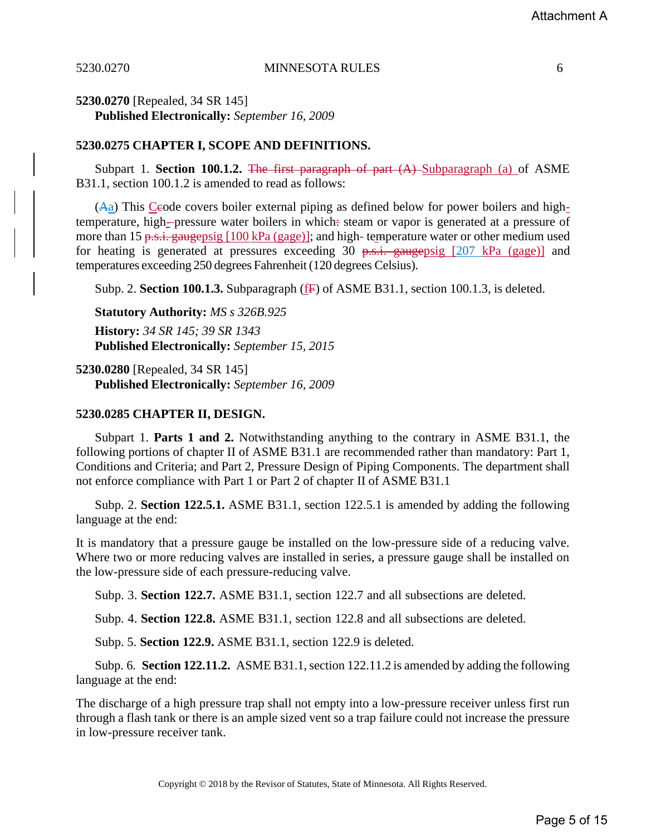**5230.0270** [Repealed, 34 SR 145] **Published Electronically:** *September 16, 2009*

#### **5230.0275 CHAPTER I, SCOPE AND DEFINITIONS.**

Subpart 1. **Section 100.1.2.** The first paragraph of part (A) Subparagraph (a) of ASME B31.1, section 100.1.2 is amended to read as follows:

 $(A<sub>a</sub>)$  This Ceode covers boiler external piping as defined below for power boilers and hightemperature, high--pressure water boilers in which: steam or vapor is generated at a pressure of more than 15 p.s.i. gaugepsig  $[100 \text{ kPa (gage)}]$ ; and high- temperature water or other medium used for heating is generated at pressures exceeding 30  $p.s.i.$  gaugepsig [207 kPa (gage)] and temperatures exceeding 250 degrees Fahrenheit(120 degrees Celsius).

Subp. 2. **Section 100.1.3.** Subparagraph (F) of ASME B31.1, section 100.1.3, is deleted.

**Statutory Authority:** *MS s 326B.925*

**History:** *34 SR 145; 39 SR 1343* **Published Electronically:** *September 15, 2015*

**5230.0280** [Repealed, 34 SR 145] **Published Electronically:** *September 16, 2009*

## **5230.0285 CHAPTER II, DESIGN.**

Subpart 1. **Parts 1 and 2.** Notwithstanding anything to the contrary in ASME B31.1, the following portions of chapter II of ASME B31.1 are recommended rather than mandatory: Part 1, Conditions and Criteria; and Part 2, Pressure Design of Piping Components. The department shall not enforce compliance with Part 1 or Part 2 of chapter II of ASME B31.1

Subp. 2. **Section 122.5.1.** ASME B31.1, section 122.5.1 is amended by adding the following language at the end:

It is mandatory that a pressure gauge be installed on the low-pressure side of a reducing valve. Where two or more reducing valves are installed in series, a pressure gauge shall be installed on the low-pressure side of each pressure-reducing valve.

Subp. 3. **Section 122.7.** ASME B31.1, section 122.7 and all subsections are deleted.

Subp. 4. **Section 122.8.** ASME B31.1, section 122.8 and all subsections are deleted.

Subp. 5. **Section 122.9.** ASME B31.1, section 122.9 is deleted.

Subp. 6. **Section 122.11.2.** ASME B31.1, section 122.11.2 is amended by adding the following language at the end:

The discharge of a high pressure trap shall not empty into a low-pressure receiver unless first run through a flash tank or there is an ample sized vent so a trap failure could not increase the pressure in low-pressure receiver tank.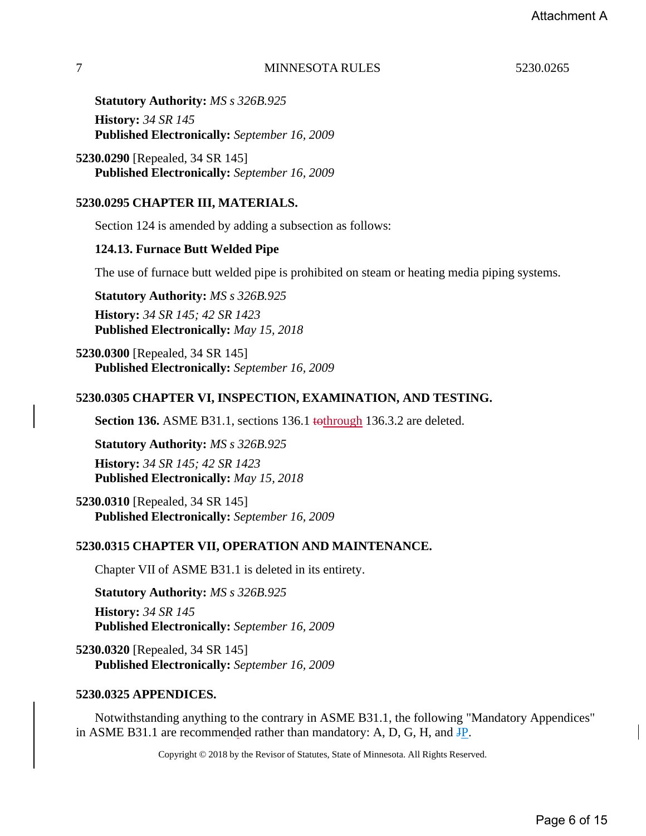**Statutory Authority:** *MS s 326B.925* **History:** *34 SR 145* **Published Electronically:** *September 16, 2009*

**5230.0290** [Repealed, 34 SR 145] **Published Electronically:** *September 16, 2009*

## **5230.0295 CHAPTER III, MATERIALS.**

Section 124 is amended by adding a subsection as follows:

## **124.13. Furnace Butt Welded Pipe**

The use of furnace butt welded pipe is prohibited on steam or heating media piping systems.

**Statutory Authority:** *MS s 326B.925* **History:** *34 SR 145; 42 SR 1423* **Published Electronically:** *May 15, 2018*

**5230.0300** [Repealed, 34 SR 145] **Published Electronically:** *September 16, 2009*

## **5230.0305 CHAPTER VI, INSPECTION, EXAMINATION, AND TESTING.**

**Section 136.** ASME B31.1, sections 136.1 tothrough 136.3.2 are deleted.

**Statutory Authority:** *MS s 326B.925* **History:** *34 SR 145; 42 SR 1423* **Published Electronically:** *May 15, 2018*

**5230.0310** [Repealed, 34 SR 145] **Published Electronically:** *September 16, 2009*

## **5230.0315 CHAPTER VII, OPERATION AND MAINTENANCE.**

Chapter VII of ASME B31.1 is deleted in its entirety.

**Statutory Authority:** *MS s 326B.925* **History:** *34 SR 145* **Published Electronically:** *September 16, 2009*

**5230.0320** [Repealed, 34 SR 145] **Published Electronically:** *September 16, 2009*

## **5230.0325 APPENDICES.**

Notwithstanding anything to the contrary in ASME B31.1, the following "Mandatory Appendices" in ASME B31.1 are recommended rather than mandatory: A, D, G, H, and JP.

Copyright © 2018 by the Revisor of Statutes, State of Minnesota. All Rights Reserved.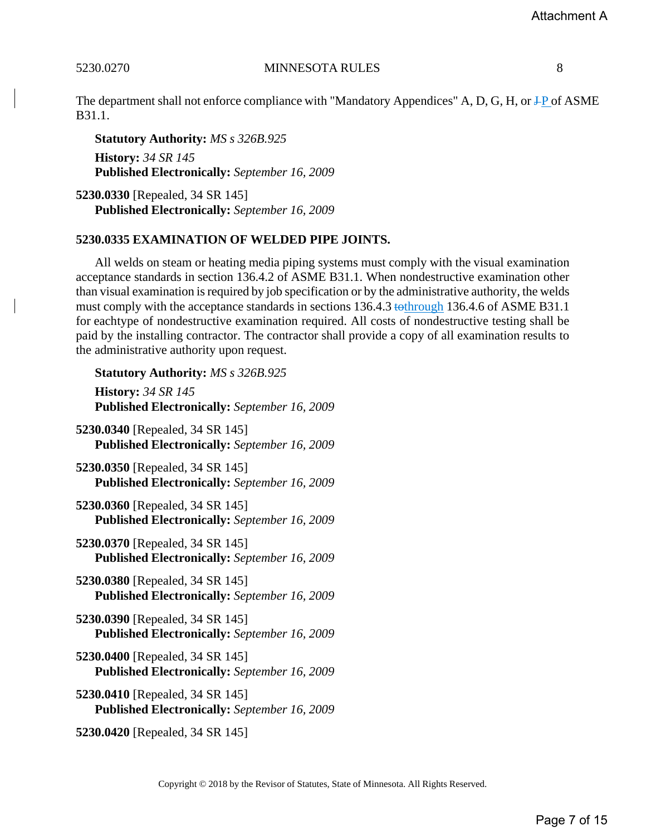The department shall not enforce compliance with "Mandatory Appendices" A, D, G, H, or  $\text{+P}$  of ASME B31.1.

**Statutory Authority:** *MS s 326B.925* **History:** *34 SR 145* **Published Electronically:** *September 16, 2009*

**5230.0330** [Repealed, 34 SR 145] **Published Electronically:** *September 16, 2009*

## **5230.0335 EXAMINATION OF WELDED PIPE JOINTS.**

All welds on steam or heating media piping systems must comply with the visual examination acceptance standards in section 136.4.2 of ASME B31.1. When nondestructive examination other than visual examination isrequired by job specification or by the administrative authority, the welds must comply with the acceptance standards in sections 136.4.3 tothrough 136.4.6 of ASME B31.1 for eachtype of nondestructive examination required. All costs of nondestructive testing shall be paid by the installing contractor. The contractor shall provide a copy of all examination results to the administrative authority upon request.

**Statutory Authority:** *MS s 326B.925* **History:** *34 SR 145* **Published Electronically:** *September 16, 2009* **5230.0340** [Repealed, 34 SR 145] **Published Electronically:** *September 16, 2009* **5230.0350** [Repealed, 34 SR 145] **Published Electronically:** *September 16, 2009* **5230.0360** [Repealed, 34 SR 145] **Published Electronically:** *September 16, 2009* **5230.0370** [Repealed, 34 SR 145] **Published Electronically:** *September 16, 2009* **5230.0380** [Repealed, 34 SR 145] **Published Electronically:** *September 16, 2009* **5230.0390** [Repealed, 34 SR 145] **Published Electronically:** *September 16, 2009* **5230.0400** [Repealed, 34 SR 145] **Published Electronically:** *September 16, 2009* **5230.0410** [Repealed, 34 SR 145] **Published Electronically:** *September 16, 2009* **5230.0420** [Repealed, 34 SR 145]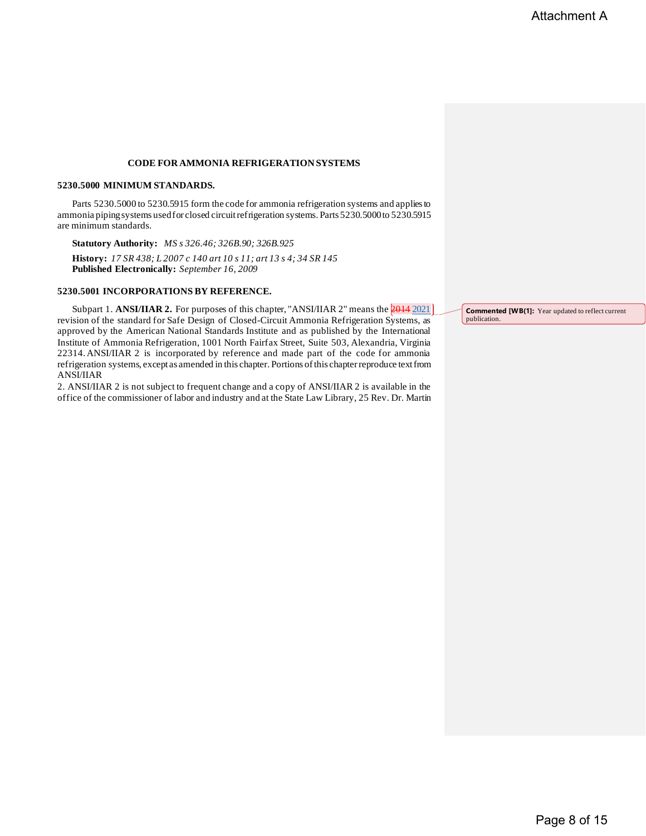#### **CODE FORAMMONIA REFRIGERATION SYSTEMS**

#### **5230.5000 MINIMUM STANDARDS.**

Parts 5230.5000 to 5230.5915 form the code for ammonia refrigeration systems and appliesto ammonia pipingsystems usedfor closed circuitrefrigeration systems. Parts 5230.5000to 5230.5915 are minimum standards.

**Statutory Authority:** *MS s 326.46; 326B.90; 326B.925* **History:** *17 SR 438; L 2007 c 140 art 10 s 11; art 13 s 4; 34 SR 145* **Published Electronically:** *September 16, 2009*

#### **5230.5001 INCORPORATIONS BY REFERENCE.**

Subpart 1. **ANSI/IIAR 2.** For purposes of this chapter, "ANSI/IIAR 2" means the **2014** 2021 revision of the standard for Safe Design of Closed-Circuit Ammonia Refrigeration Systems, as approved by the American National Standards Institute and as published by the International Institute of Ammonia Refrigeration, 1001 North Fairfax Street, Suite 503, Alexandria, Virginia 22314.ANSI/IIAR 2 is incorporated by reference and made part of the code for ammonia refrigeration systems, except as amended in this chapter. Portions ofthis chapterreproduce textfrom ANSI/IIAR

2. ANSI/IIAR 2 is not subject to frequent change and a copy of ANSI/IIAR 2 is available in the office of the commissioner of labor and industry and at the State Law Library, 25 Rev. Dr. Martin

**Commented [WB(1]:** Year updated to reflect current publication.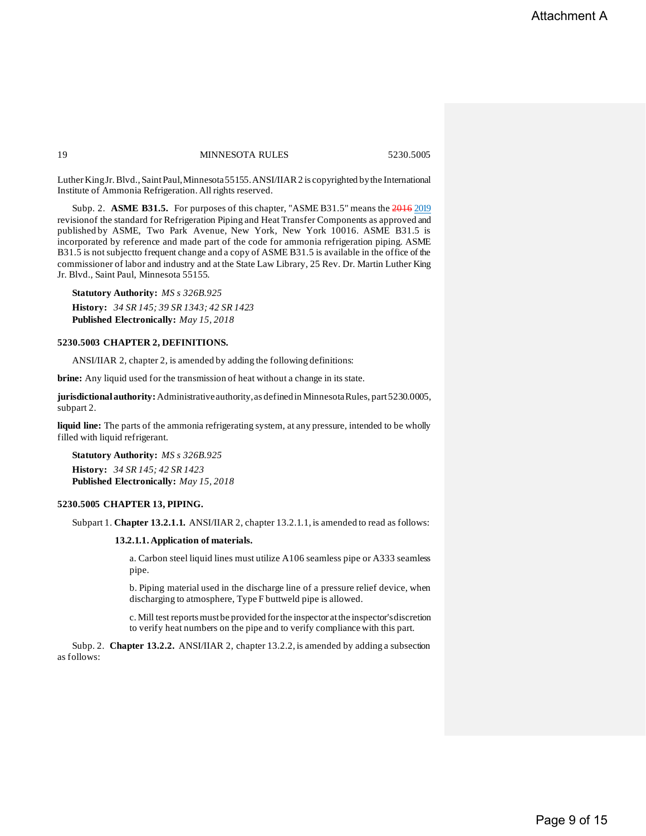Luther King Jr. Blvd., Saint Paul, Minnesota 55155. ANSI/IIAR 2 is copyrighted by the International Institute of Ammonia Refrigeration. All rights reserved.

Subp. 2. **ASME B31.5.** For purposes of this chapter, "ASME B31.5" means the 2016 2019 revisionof the standard for Refrigeration Piping and Heat Transfer Components as approved and published by ASME, Two Park Avenue, New York, New York 10016. ASME B31.5 is incorporated by reference and made part of the code for ammonia refrigeration piping. ASME B31.5 is notsubjectto frequent change and a copy of ASME B31.5 is available in the office of the commissioner of labor and industry and at the State Law Library, 25 Rev. Dr. Martin Luther King Jr. Blvd., Saint Paul, Minnesota 55155.

**Statutory Authority:** *MS s 326B.925* **History:** *34 SR 145; 39 SR 1343; 42 SR 1423* **Published Electronically:** *May 15, 2018*

#### **5230.5003 CHAPTER 2, DEFINITIONS.**

ANSI/IIAR 2, chapter 2, is amended by adding the following definitions:

**brine:** Any liquid used for the transmission of heat without a change in its state.

**jurisdictionalauthority:**Administrativeauthority,as definedin MinnesotaRules, part5230.0005, subpart 2.

**liquid line:** The parts of the ammonia refrigerating system, at any pressure, intended to be wholly filled with liquid refrigerant.

**Statutory Authority:** *MS s 326B.925* **History:** *34 SR 145; 42 SR 1423* **Published Electronically:** *May 15, 2018*

#### **5230.5005 CHAPTER 13, PIPING.**

Subpart 1. **Chapter 13.2.1.1.** ANSI/IIAR 2, chapter 13.2.1.1, is amended to read as follows:

#### **13.2.1.1. Application of materials.**

a. Carbon steel liquid lines must utilize A106 seamless pipe or A333 seamless pipe.

b. Piping material used in the discharge line of a pressure relief device, when discharging to atmosphere, Type F buttweld pipe is allowed.

c. Mill test reports must be provided for the inspector at the inspector's discretion to verify heat numbers on the pipe and to verify compliance with this part.

Subp. 2. **Chapter 13.2.2.** ANSI/IIAR 2, chapter 13.2.2, is amended by adding a subsection as follows: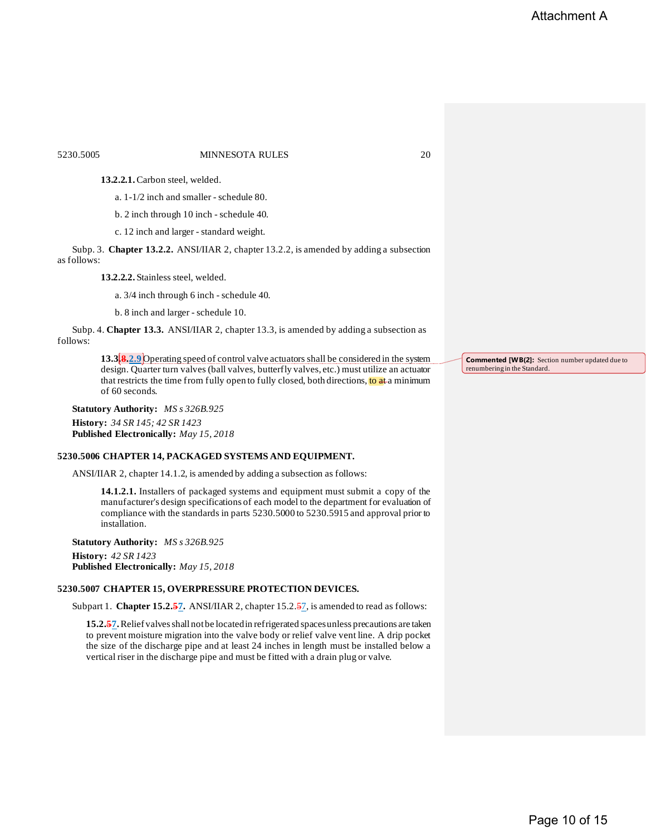#### 5230.5005 MINNESOTA RULES 20

**13.2.2.1.**Carbon steel, welded.

a. 1-1/2 inch and smaller - schedule 80.

b. 2 inch through 10 inch - schedule 40.

c. 12 inch and larger - standard weight.

Subp. 3. **Chapter 13.2.2.** ANSI/IIAR 2, chapter 13.2.2, is amended by adding a subsection as follows:

**13.2.2.2.** Stainless steel, welded.

a. 3/4 inch through 6 inch - schedule 40.

b. 8 inch and larger - schedule 10.

Subp. 4. **Chapter 13.3.** ANSI/IIAR 2, chapter 13.3, is amended by adding a subsection as follows:

> **13.3.8.2.9** Operating speed of control valve actuators shall be considered in the system design. Quarter turn valves (ball valves, butterfly valves, etc.) must utilize an actuator that restricts the time from fully open to fully closed, both directions, to at a minimum of 60 seconds.

**Statutory Authority:** *MS s 326B.925* **History:** *34 SR 145; 42 SR 1423* **Published Electronically:** *May 15, 2018*

#### **5230.5006 CHAPTER 14, PACKAGED SYSTEMS AND EQUIPMENT.**

ANSI/IIAR 2, chapter 14.1.2, is amended by adding a subsection as follows:

**14.1.2.1.** Installers of packaged systems and equipment must submit a copy of the manufacturer's design specifications of each model to the department for evaluation of compliance with the standards in parts 5230.5000 to 5230.5915 and approval prior to installation.

**Statutory Authority:** *MS s 326B.925* **History:** *42 SR 1423* **Published Electronically:** *May 15, 2018*

#### **5230.5007 CHAPTER 15, OVERPRESSURE PROTECTION DEVICES.**

Subpart 1. **Chapter 15.2.57.** ANSI/IIAR 2, chapter 15.2.57, is amended to read as follows:

15.2.57. Relief valves shall not be located in refrigerated spaces unless precautions are taken to prevent moisture migration into the valve body or relief valve vent line. A drip pocket the size of the discharge pipe and at least 24 inches in length must be installed below a vertical riser in the discharge pipe and must be fitted with a drain plug or valve.

**Commented [WB(2]:** Section number updated due to renumbering in the Standard.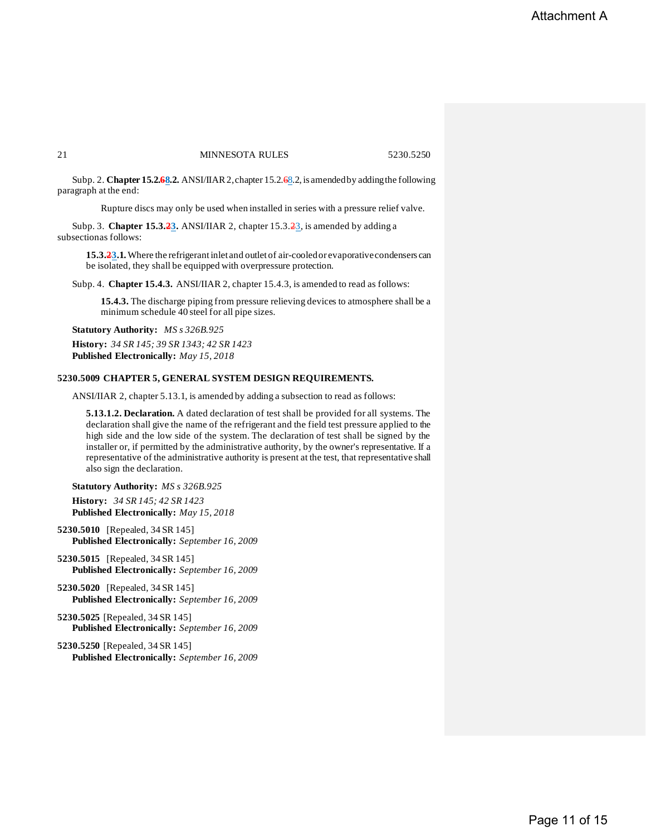Subp. 2. **Chapter 15.2.68.2.** ANSI/IIAR 2, chapter 15.2.68.2, is amended by adding the following paragraph at the end:

Rupture discs may only be used when installed in series with a pressure relief valve.

Subp. 3. **Chapter 15.3.23.** ANSI/IIAR 2, chapter 15.3.23, is amended by adding a subsectionas follows:

**15.3.23.1.**Where the refrigerantinlet and outlet of air-cooledor evaporativecondensers can be isolated, they shall be equipped with overpressure protection.

Subp. 4. **Chapter 15.4.3.** ANSI/IIAR 2, chapter 15.4.3, is amended to read as follows:

**15.4.3.** The discharge piping from pressure relieving devices to atmosphere shall be a minimum schedule 40 steel for all pipe sizes.

**Statutory Authority:** *MS s 326B.925* **History:** *34 SR 145; 39 SR 1343; 42 SR 1423* **Published Electronically:** *May 15, 2018*

#### **5230.5009 CHAPTER 5, GENERAL SYSTEM DESIGN REQUIREMENTS.**

ANSI/IIAR 2, chapter 5.13.1, is amended by adding a subsection to read as follows:

**5.13.1.2. Declaration.** A dated declaration of test shall be provided for all systems. The declaration shall give the name of the refrigerant and the field test pressure applied to the high side and the low side of the system. The declaration of test shall be signed by the installer or, if permitted by the administrative authority, by the owner's representative. If a representative of the administrative authority is present at the test, that representative shall also sign the declaration.

**Statutory Authority:** *MS s 326B.925*

**History:** *34 SR 145; 42 SR 1423* **Published Electronically:** *May 15, 2018*

**5230.5010** [Repealed, 34 SR 145] **Published Electronically:** *September 16, 2009*

- **5230.5015** [Repealed, 34 SR 145] **Published Electronically:** *September 16, 2009*
- **5230.5020** [Repealed, 34 SR 145] **Published Electronically:** *September 16, 2009*
- **5230.5025** [Repealed, 34 SR 145] **Published Electronically:** *September 16, 2009*
- **5230.5250** [Repealed, 34 SR 145] **Published Electronically:** *September 16, 2009*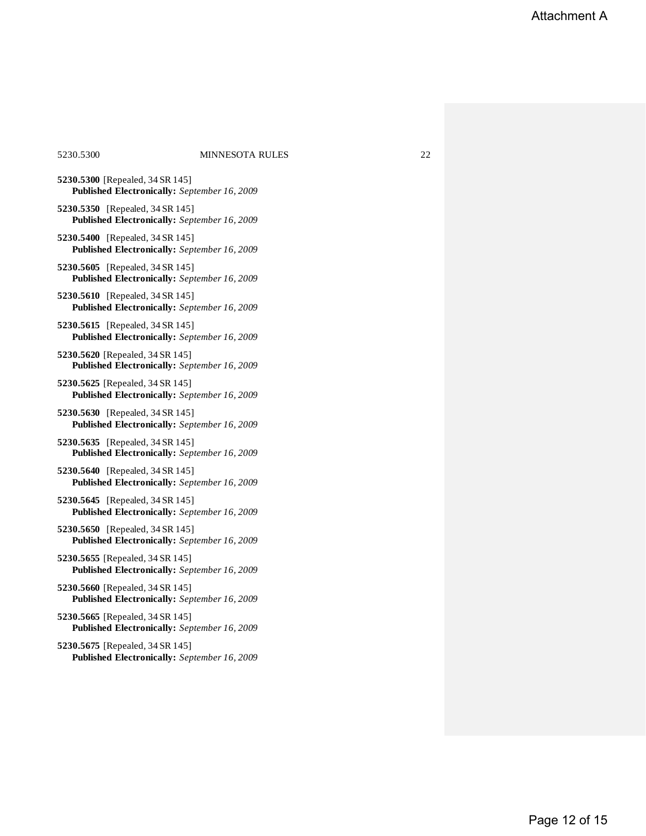#### 5230.5300 MINNESOTA RULES 22

- **5230.5300** [Repealed, 34 SR 145] **Published Electronically:** *September 16, 2009*
- **5230.5350** [Repealed, 34 SR 145] **Published Electronically:** *September 16, 2009*
- **5230.5400** [Repealed, 34 SR 145] **Published Electronically:** *September 16, 2009*
- **5230.5605** [Repealed, 34 SR 145] **Published Electronically:** *September 16, 2009*
- **5230.5610** [Repealed, 34 SR 145] **Published Electronically:** *September 16, 2009*
- **5230.5615** [Repealed, 34 SR 145] **Published Electronically:** *September 16, 2009*
- **5230.5620** [Repealed, 34 SR 145] **Published Electronically:** *September 16, 2009*
- **5230.5625** [Repealed, 34 SR 145] **Published Electronically:** *September 16, 2009*
- **5230.5630** [Repealed, 34 SR 145] **Published Electronically:** *September 16, 2009*
- **5230.5635** [Repealed, 34 SR 145] **Published Electronically:** *September 16, 2009*
- **5230.5640** [Repealed, 34 SR 145] **Published Electronically:** *September 16, 2009*
- **5230.5645** [Repealed, 34 SR 145] **Published Electronically:** *September 16, 2009*
- **5230.5650** [Repealed, 34 SR 145] **Published Electronically:** *September 16, 2009*
- **5230.5655** [Repealed, 34 SR 145] **Published Electronically:** *September 16, 2009*
- **5230.5660** [Repealed, 34 SR 145] **Published Electronically:** *September 16, 2009*
- **5230.5665** [Repealed, 34 SR 145] **Published Electronically:** *September 16, 2009*
- **5230.5675** [Repealed, 34 SR 145] **Published Electronically:** *September 16, 2009*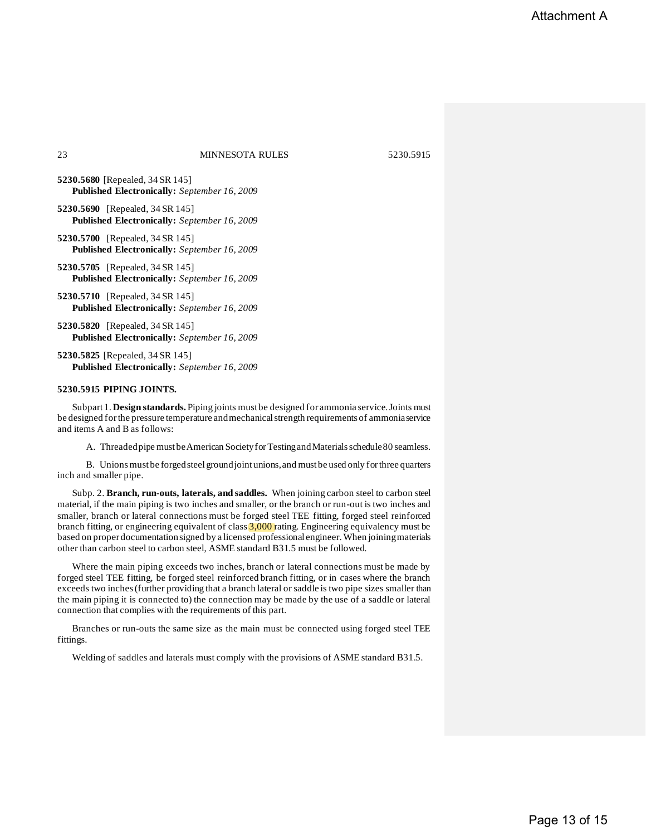**5230.5680** [Repealed, 34 SR 145] **Published Electronically:** *September 16, 2009*

- **5230.5690** [Repealed, 34 SR 145] **Published Electronically:** *September 16, 2009*
- **5230.5700** [Repealed, 34 SR 145] **Published Electronically:** *September 16, 2009*
- **5230.5705** [Repealed, 34 SR 145] **Published Electronically:** *September 16, 2009*
- **5230.5710** [Repealed, 34 SR 145] **Published Electronically:** *September 16, 2009*

**5230.5820** [Repealed, 34 SR 145] **Published Electronically:** *September 16, 2009*

**5230.5825** [Repealed, 34 SR 145] **Published Electronically:** *September 16, 2009*

#### **5230.5915 PIPING JOINTS.**

Subpart 1. **Design standards.** Piping joints must be designed for ammonia service. Joints must be designed for the pressure temperature and mechanical strength requirements of ammoniaservice and items A and B as follows:

A. Threaded pipe must be American Society for Testing and Materials schedule 80 seamless.

B. Unionsmust be forgedsteel groundjointunions,and mustbe used only forthree quarters inch and smaller pipe.

Subp. 2. **Branch, run-outs, laterals, and saddles.** When joining carbon steel to carbon steel material, if the main piping is two inches and smaller, or the branch or run-out is two inches and smaller, branch or lateral connections must be forged steel TEE fitting, forged steel reinforced branch fitting, or engineering equivalent of class  $3,000$  rating. Engineering equivalency must be based on proper documentationsigned by a licensed professional engineer. When joiningmaterials other than carbon steel to carbon steel, ASME standard B31.5 must be followed.

Where the main piping exceeds two inches, branch or lateral connections must be made by forged steel TEE fitting, be forged steel reinforced branch fitting, or in cases where the branch exceeds two inches(further providing that a branch lateral or saddle is two pipe sizes smaller than the main piping it is connected to) the connection may be made by the use of a saddle or lateral connection that complies with the requirements of this part.

Branches or run-outs the same size as the main must be connected using forged steel TEE fittings.

Welding of saddles and laterals must comply with the provisions of ASME standard B31.5.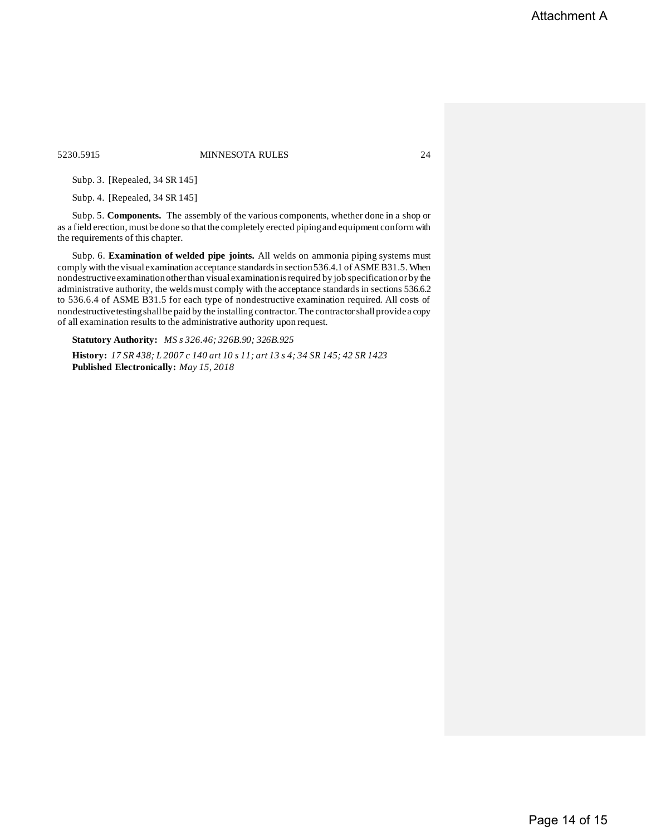5230.5915 MINNESOTA RULES 24

Subp. 3. [Repealed, 34 SR 145]

Subp. 4. [Repealed, 34 SR 145]

Subp. 5. **Components.** The assembly of the various components, whether done in a shop or as a field erection, must be done so that the completely erected piping and equipment conform with the requirements of this chapter.

Subp. 6. **Examination of welded pipe joints.** All welds on ammonia piping systems must comply with the visual examination acceptance standardsin section536.4.1 ofASMEB31.5.When nondestructiveexaminationotherthan visual examinationisrequired by job specificationor by the administrative authority, the weldsmust comply with the acceptance standards in sections 536.6.2 to 536.6.4 of ASME B31.5 for each type of nondestructive examination required. All costs of nondestructivetestingshall be paid by the installing contractor. The contractorshall providea copy of all examination results to the administrative authority upon request.

**Statutory Authority:** *MS s 326.46; 326B.90; 326B.925*

History: 17 SR 438; L 2007 c 140 art 10 s 11; art 13 s 4; 34 SR 145; 42 SR 1423 **Published Electronically:** *May 15, 2018*